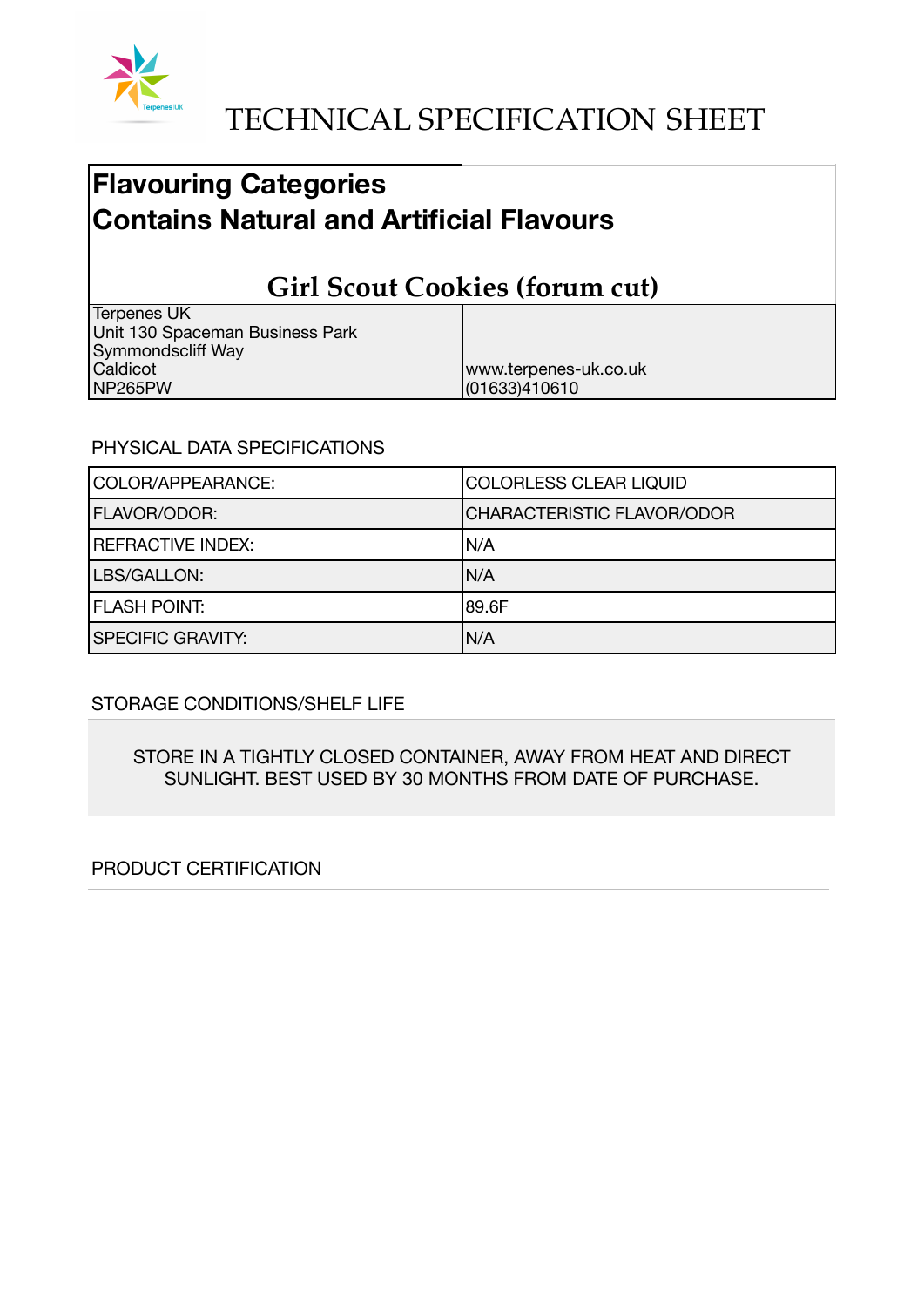

# **Flavouring Categories Contains Natural and Artificial Flavours**

# **Girl Scout Cookies (forum cut)**

| Terpenes UK                     |                       |
|---------------------------------|-----------------------|
| Unit 130 Spaceman Business Park |                       |
| Symmondscliff Way               |                       |
| Caldicot                        | www.terpenes-uk.co.uk |
| NP265PW                         | (01633)410610         |

#### PHYSICAL DATA SPECIFICATIONS

| COLOR/APPEARANCE:        | COLORLESS CLEAR LIQUID            |
|--------------------------|-----------------------------------|
| FLAVOR/ODOR:             | <b>CHARACTERISTIC FLAVOR/ODOR</b> |
| <b>REFRACTIVE INDEX:</b> | IN/A                              |
| LBS/GALLON:              | IN/A                              |
| <b>FLASH POINT:</b>      | 189.6F                            |
| <b>SPECIFIC GRAVITY:</b> | N/A                               |

## STORAGE CONDITIONS/SHELF LIFE

STORE IN A TIGHTLY CLOSED CONTAINER, AWAY FROM HEAT AND DIRECT SUNLIGHT. BEST USED BY 30 MONTHS FROM DATE OF PURCHASE.

## PRODUCT CERTIFICATION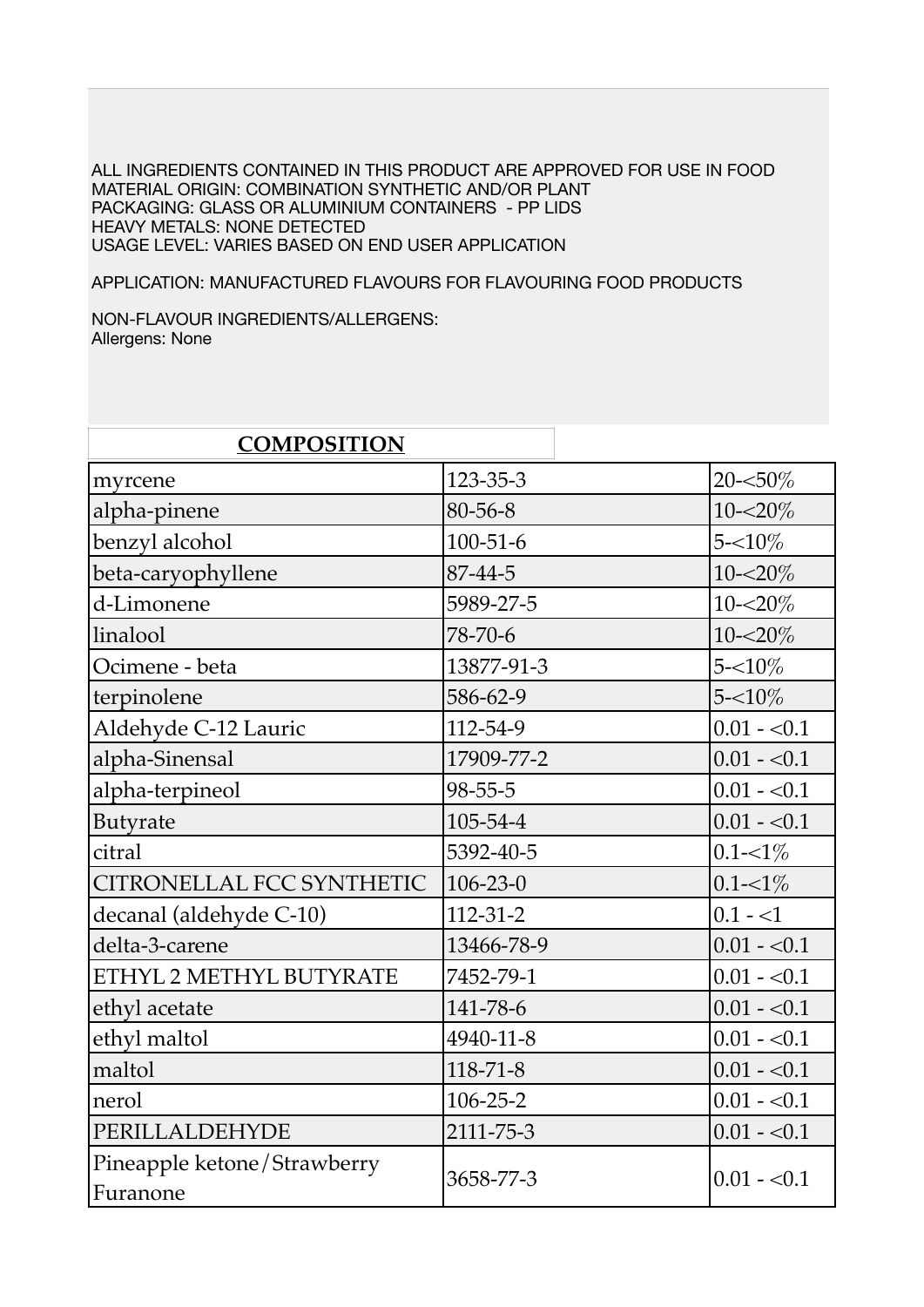ALL INGREDIENTS CONTAINED IN THIS PRODUCT ARE APPROVED FOR USE IN FOOD MATERIAL ORIGIN: COMBINATION SYNTHETIC AND/OR PLANT PACKAGING: GLASS OR ALUMINIUM CONTAINERS - PP LIDS HEAVY METALS: NONE DETECTED USAGE LEVEL: VARIES BASED ON END USER APPLICATION

APPLICATION: MANUFACTURED FLAVOURS FOR FLAVOURING FOOD PRODUCTS

NON-FLAVOUR INGREDIENTS/ALLERGENS: Allergens: None

| <b>COMPOSITION</b>                      |                |              |
|-----------------------------------------|----------------|--------------|
| myrcene                                 | $123 - 35 - 3$ | 20-<50%      |
| alpha-pinene                            | 80-56-8        | $10 - 20\%$  |
| benzyl alcohol                          | $100 - 51 - 6$ | $5 - 10\%$   |
| beta-caryophyllene                      | 87-44-5        | $10 - 20\%$  |
| d-Limonene                              | 5989-27-5      | 10-<20%      |
| linalool                                | 78-70-6        | $10 - 20\%$  |
| Ocimene - beta                          | 13877-91-3     | $5 - 10\%$   |
| terpinolene                             | 586-62-9       | $5 - 10\%$   |
| Aldehyde C-12 Lauric                    | 112-54-9       | $0.01 - 0.1$ |
| alpha-Sinensal                          | 17909-77-2     | $0.01 - 0.1$ |
| alpha-terpineol                         | $98 - 55 - 5$  | $0.01 - 0.1$ |
| Butyrate                                | 105-54-4       | $0.01 - 0.1$ |
| citral                                  | 5392-40-5      | $0.1 - 1\%$  |
| CITRONELLAL FCC SYNTHETIC               | $106 - 23 - 0$ | $0.1 - 1\%$  |
| decanal (aldehyde C-10)                 | $112 - 31 - 2$ | $0.1 - 1$    |
| delta-3-carene                          | 13466-78-9     | $0.01 - 0.1$ |
| ETHYL 2 METHYL BUTYRATE                 | 7452-79-1      | $0.01 - 0.1$ |
| ethyl acetate                           | 141-78-6       | $0.01 - 0.1$ |
| ethyl maltol                            | 4940-11-8      | $0.01 - 0.1$ |
| maltol                                  | $118 - 71 - 8$ | $0.01 - 0.1$ |
| nerol                                   | 106-25-2       | $0.01 - 0.1$ |
| PERILLALDEHYDE                          | 2111-75-3      | $0.01 - 0.1$ |
| Pineapple ketone/Strawberry<br>Furanone | 3658-77-3      | $0.01 - 0.1$ |